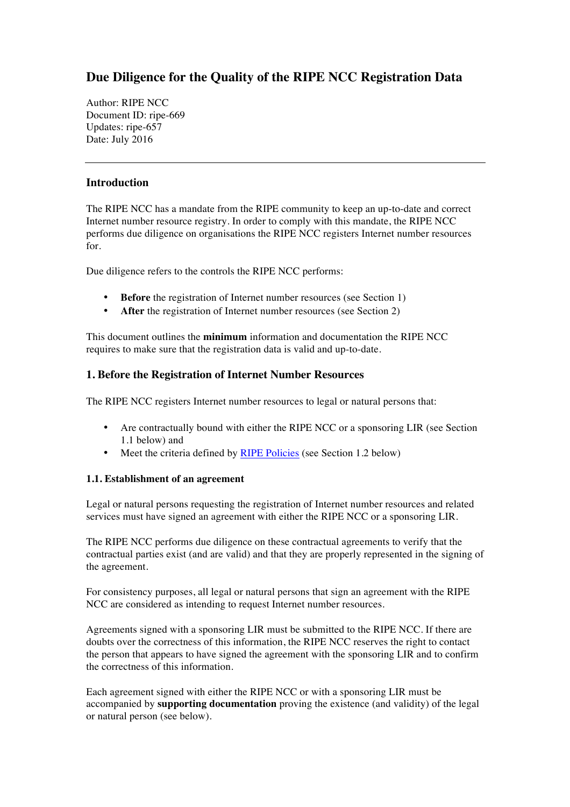# **Due Diligence for the Quality of the RIPE NCC Registration Data**

Author: RIPE NCC Document ID: ripe-669 Updates: ripe-657 Date: July 2016

## **Introduction**

The RIPE NCC has a mandate from the RIPE community to keep an up-to-date and correct Internet number resource registry. In order to comply with this mandate, the RIPE NCC performs due diligence on organisations the RIPE NCC registers Internet number resources for.

Due diligence refers to the controls the RIPE NCC performs:

- **Before** the registration of Internet number resources (see Section 1)
- **After** the registration of Internet number resources (see Section 2)

This document outlines the **minimum** information and documentation the RIPE NCC requires to make sure that the registration data is valid and up-to-date.

## **1. Before the Registration of Internet Number Resources**

The RIPE NCC registers Internet number resources to legal or natural persons that:

- Are contractually bound with either the RIPE NCC or a sponsoring LIR (see Section 1.1 below) and
- Meet the criteria defined by [RIPE Policies](https://www.ripe.net/publications/docs/ripe-policies/ripe-policies) (see Section 1.2 below)

#### **1.1. Establishment of an agreement**

Legal or natural persons requesting the registration of Internet number resources and related services must have signed an agreement with either the RIPE NCC or a sponsoring LIR.

The RIPE NCC performs due diligence on these contractual agreements to verify that the contractual parties exist (and are valid) and that they are properly represented in the signing of the agreement.

For consistency purposes, all legal or natural persons that sign an agreement with the RIPE NCC are considered as intending to request Internet number resources.

Agreements signed with a sponsoring LIR must be submitted to the RIPE NCC. If there are doubts over the correctness of this information, the RIPE NCC reserves the right to contact the person that appears to have signed the agreement with the sponsoring LIR and to confirm the correctness of this information.

Each agreement signed with either the RIPE NCC or with a sponsoring LIR must be accompanied by **supporting documentation** proving the existence (and validity) of the legal or natural person (see below).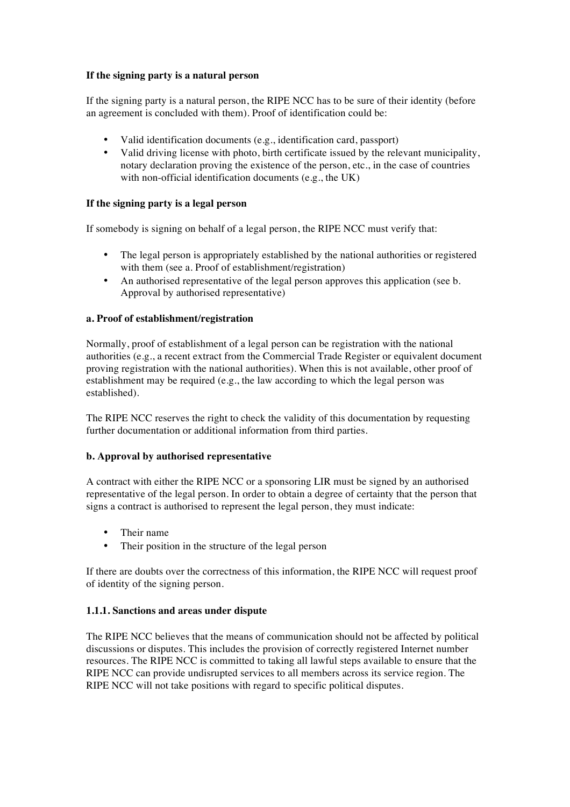## **If the signing party is a natural person**

If the signing party is a natural person, the RIPE NCC has to be sure of their identity (before an agreement is concluded with them). Proof of identification could be:

- Valid identification documents (e.g., identification card, passport)
- Valid driving license with photo, birth certificate issued by the relevant municipality, notary declaration proving the existence of the person, etc., in the case of countries with non-official identification documents (e.g., the UK)

## **If the signing party is a legal person**

If somebody is signing on behalf of a legal person, the RIPE NCC must verify that:

- The legal person is appropriately established by the national authorities or registered with them (see a. Proof of establishment/registration)
- An authorised representative of the legal person approves this application (see b. Approval by authorised representative)

#### **a. Proof of establishment/registration**

Normally, proof of establishment of a legal person can be registration with the national authorities (e.g., a recent extract from the Commercial Trade Register or equivalent document proving registration with the national authorities). When this is not available, other proof of establishment may be required (e.g., the law according to which the legal person was established).

The RIPE NCC reserves the right to check the validity of this documentation by requesting further documentation or additional information from third parties.

#### **b. Approval by authorised representative**

A contract with either the RIPE NCC or a sponsoring LIR must be signed by an authorised representative of the legal person. In order to obtain a degree of certainty that the person that signs a contract is authorised to represent the legal person, they must indicate:

- Their name
- Their position in the structure of the legal person

If there are doubts over the correctness of this information, the RIPE NCC will request proof of identity of the signing person.

#### **1.1.1. Sanctions and areas under dispute**

The RIPE NCC believes that the means of communication should not be affected by political discussions or disputes. This includes the provision of correctly registered Internet number resources. The RIPE NCC is committed to taking all lawful steps available to ensure that the RIPE NCC can provide undisrupted services to all members across its service region. The RIPE NCC will not take positions with regard to specific political disputes.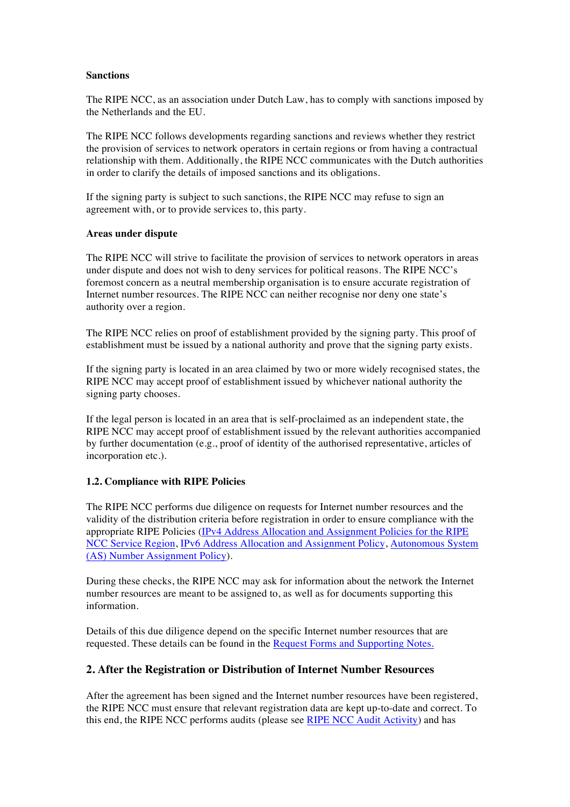#### **Sanctions**

The RIPE NCC, as an association under Dutch Law, has to comply with sanctions imposed by the Netherlands and the EU.

The RIPE NCC follows developments regarding sanctions and reviews whether they restrict the provision of services to network operators in certain regions or from having a contractual relationship with them. Additionally, the RIPE NCC communicates with the Dutch authorities in order to clarify the details of imposed sanctions and its obligations.

If the signing party is subject to such sanctions, the RIPE NCC may refuse to sign an agreement with, or to provide services to, this party.

#### **Areas under dispute**

The RIPE NCC will strive to facilitate the provision of services to network operators in areas under dispute and does not wish to deny services for political reasons. The RIPE NCC's foremost concern as a neutral membership organisation is to ensure accurate registration of Internet number resources. The RIPE NCC can neither recognise nor deny one state's authority over a region.

The RIPE NCC relies on proof of establishment provided by the signing party. This proof of establishment must be issued by a national authority and prove that the signing party exists.

If the signing party is located in an area claimed by two or more widely recognised states, the RIPE NCC may accept proof of establishment issued by whichever national authority the signing party chooses.

If the legal person is located in an area that is self-proclaimed as an independent state, the RIPE NCC may accept proof of establishment issued by the relevant authorities accompanied by further documentation (e.g., proof of identity of the authorised representative, articles of incorporation etc.).

#### **1.2. Compliance with RIPE Policies**

The RIPE NCC performs due diligence on requests for Internet number resources and the validity of the distribution criteria before registration in order to ensure compliance with the appropriate RIPE Policies [\(IPv4 Address Allocation and Assignment Policies for the RIPE](https://www.ripe.net/publications/docs/ipv4-policies) [NCC Service Region](https://www.ripe.net/publications/docs/ipv4-policies), [IPv6 Address Allocation and Assignment Policy,](https://www.ripe.net/publications/docs/ipv6-policy) [Autonomous System](https://www.ripe.net/publications/docs/asn-assignment-policies) [\(AS\) Number Assignment Policy](https://www.ripe.net/publications/docs/asn-assignment-policies)).

During these checks, the RIPE NCC may ask for information about the network the Internet number resources are meant to be assigned to, as well as for documents supporting this information.

Details of this due diligence depend on the specific Internet number resources that are requested. These details can be found in the [Request Forms and Supporting Notes](https://www.ripe.net/manage-ips-and-asns/resource-management/supporting-notes-for-internet-address-space-request-forms).

## **2. After the Registration or Distribution of Internet Number Resources**

After the agreement has been signed and the Internet number resources have been registered, the RIPE NCC must ensure that relevant registration data are kept up-to-date and correct. To this end, the RIPE NCC performs audits (please see [RIPE NCC Audit Activity](https://www.ripe.net/publications/docs/audit)) and has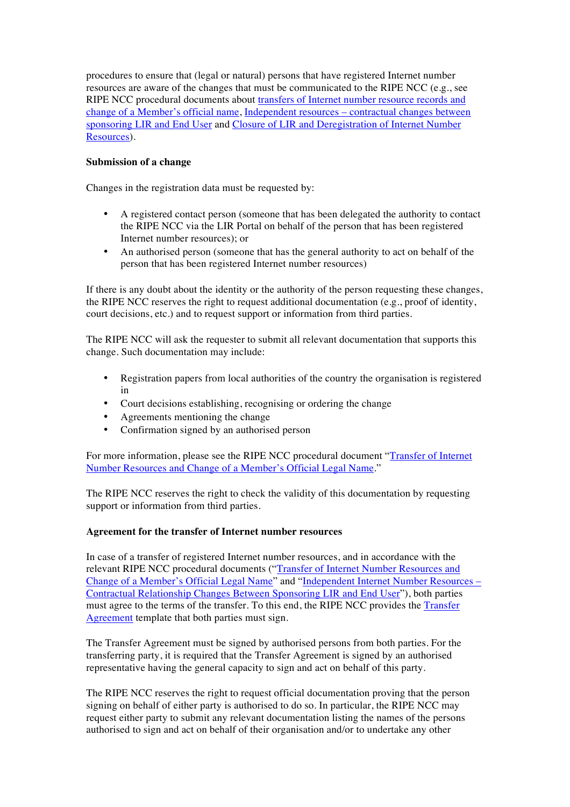procedures to ensure that (legal or natural) persons that have registered Internet number resources are aware of the changes that must be communicated to the RIPE NCC (e.g., see RIPE NCC procedural documents about [transfers of Internet number resource records and](https://www.ripe.net/publications/docs/mergers) [change of a Member's official name,](https://www.ripe.net/publications/docs/mergers) Independent resources – [contractual changes between](https://www.ripe.net/publications/docs/lir-end-user-contractual-changes) [sponsoring LIR and End User](https://www.ripe.net/publications/docs/lir-end-user-contractual-changes) and [Closure of LIR and Deregistration of Internet Number](http://www.ripe.net/publications/docs/closure) [Resources](http://www.ripe.net/publications/docs/closure)).

## **Submission of a change**

Changes in the registration data must be requested by:

- A registered contact person (someone that has been delegated the authority to contact the RIPE NCC via the LIR Portal on behalf of the person that has been registered Internet number resources); or
- An authorised person (someone that has the general authority to act on behalf of the person that has been registered Internet number resources)

If there is any doubt about the identity or the authority of the person requesting these changes, the RIPE NCC reserves the right to request additional documentation (e.g., proof of identity, court decisions, etc.) and to request support or information from third parties.

The RIPE NCC will ask the requester to submit all relevant documentation that supports this change. Such documentation may include:

- Registration papers from local authorities of the country the organisation is registered in
- Court decisions establishing, recognising or ordering the change
- Agreements mentioning the change
- Confirmation signed by an authorised person

For more information, please see the RIPE NCC procedural document ["Transfer of Internet](https://www.ripe.net/publications/docs/mergers) [Number Resources and Change of a Member's Official Legal Name](https://www.ripe.net/publications/docs/mergers)."

The RIPE NCC reserves the right to check the validity of this documentation by requesting support or information from third parties.

#### **Agreement for the transfer of Internet number resources**

In case of a transfer of registered Internet number resources, and in accordance with the relevant RIPE NCC procedural documents (["Transfer of Internet Number Resources and](https://www.ripe.net/publications/docs/mergers) [Change of a Member's Official Legal Name](https://www.ripe.net/publications/docs/mergers)" and "[Independent Internet Number Resources –](https://www.ripe.net/publications/docs/lir-end-user-contractual-changes) [Contractual Relationship Changes Between Sponsoring LIR and End User](https://www.ripe.net/publications/docs/lir-end-user-contractual-changes)"), both parties must agree to the terms of the transfer. To this end, the RIPE NCC provides the [Transfer](https://www.ripe.net/transfer-agreement)  [Agreement](https://www.ripe.net/transfer-agreement) template that both parties must sign.

The Transfer Agreement must be signed by authorised persons from both parties. For the transferring party, it is required that the Transfer Agreement is signed by an authorised representative having the general capacity to sign and act on behalf of this party.

The RIPE NCC reserves the right to request official documentation proving that the person signing on behalf of either party is authorised to do so. In particular, the RIPE NCC may request either party to submit any relevant documentation listing the names of the persons authorised to sign and act on behalf of their organisation and/or to undertake any other